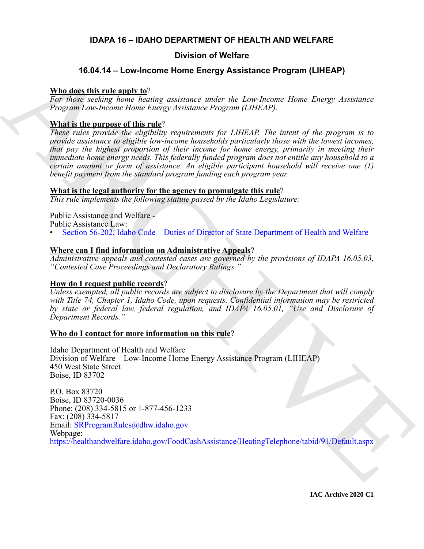### **IDAPA 16 – IDAHO DEPARTMENT OF HEALTH AND WELFARE**

## **Division of Welfare**

## **16.04.14 – Low-Income Home Energy Assistance Program (LIHEAP)**

#### **Who does this rule apply to**?

*For those seeking home heating assistance under the Low-Income Home Energy Assistance Program Low-Income Home Energy Assistance Program (LIHEAP).*

#### **What is the purpose of this rule**?

*These rules provide the eligibility requirements for LIHEAP. The intent of the program is to provide assistance to eligible low-income households particularly those with the lowest incomes, that pay the highest proportion of their income for home energy, primarily in meeting their immediate home energy needs. This federally funded program does not entitle any household to a certain amount or form of assistance. An eligible participant household will receive one (1) benefit payment from the standard program funding each program year.*

#### **What is the legal authority for the agency to promulgate this rule**?

*This rule implements the following statute passed by the Idaho Legislature:*

Public Assistance and Welfare - Public Assistance Law:

• Section 56-202, Idaho Code – Duties of Director of State Department of Health and Welfare

### **Where can I find information on Administrative Appeals**?

*Administrative appeals and contested cases are governed by the provisions of IDAPA 16.05.03, "Contested Case Proceedings and Declaratory Rulings."*

### **How do I request public records**?

*Unless exempted, all public records are subject to disclosure by the Department that will comply with Title 74, Chapter 1, Idaho Code, upon requests. Confidential information may be restricted by state or federal law, federal regulation, and IDAPA 16.05.01, "Use and Disclosure of Department Records."*

### **Who do I contact for more information on this rule**?

Idaho Department of Health and Welfare Division of Welfare – Low-Income Home Energy Assistance Program (LIHEAP) 450 West State Street Boise, ID 83702

**16.04.14 - Low-Income Home Energy Assistance Program (LHEAP)**<br> **Note dest this realization home heating** accurate and the Low-Income Home Barry Assistance<br>
For their exchange home heating covariance and the Low-Income Ho P.O. Box 83720 Boise, ID 83720-0036 Phone: (208) 334-5815 or 1-877-456-1233 Fax: (208) 334-5817 Email: SRProgramRules@dhw.idaho.gov Webpage: https://healthandwelfare.idaho.gov/FoodCashAssistance/HeatingTelephone/tabid/91/Default.aspx

**IAC Archive 2020 C1**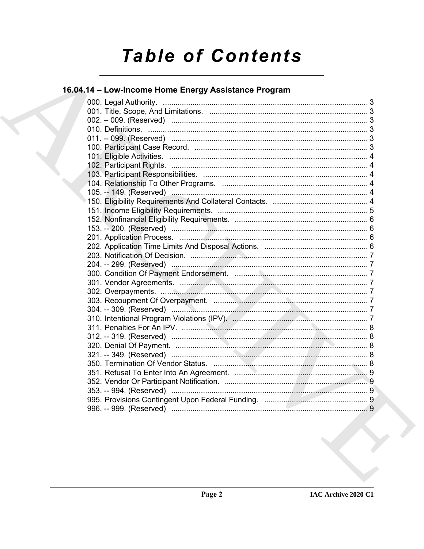# **Table of Contents**

# 16.04.14 - Low-Income Home Energy Assistance Program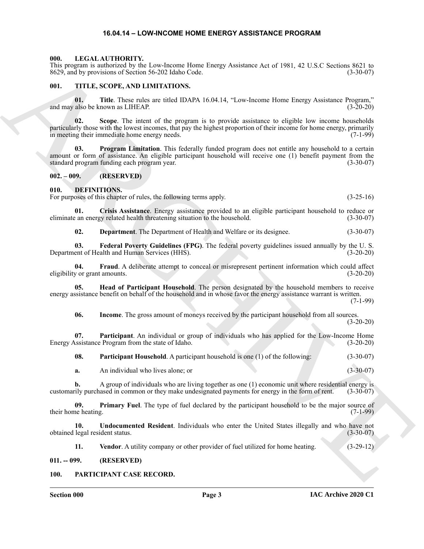#### **16.04.14 – LOW-INCOME HOME ENERGY ASSISTANCE PROGRAM**

#### <span id="page-2-19"></span><span id="page-2-1"></span><span id="page-2-0"></span>**000. LEGAL AUTHORITY.**

This program is authorized by the Low-Income Home Energy Assistance Act of 1981, 42 U.S.C Sections 8621 to 8629, and by provisions of Section 56-202 Idaho Code. (3-30-07)

#### <span id="page-2-21"></span><span id="page-2-2"></span>**001. TITLE, SCOPE, AND LIMITATIONS.**

**01. Title**. These rules are titled IDAPA 16.04.14, "Low-Income Home Energy Assistance Program," and may also be known as LIHEAP. (3-20-20)

**02. Scope**. The intent of the program is to provide assistance to eligible low income households particularly those with the lowest incomes, that pay the highest proportion of their income for home energy, primarily in meeting their immediate home energy needs. (7-1-99)

ARCHIVE **03. Program Limitation**. This federally funded program does not entitle any household to a certain amount or form of assistance. An eligible participant household will receive one (1) benefit payment from the standard program funding each program year. (3-30-07)

#### <span id="page-2-3"></span>**002. – 009. (RESERVED)**

#### <span id="page-2-7"></span><span id="page-2-4"></span>**010. DEFINITIONS.**

For purposes of this chapter of rules, the following terms apply. (3-25-16)

**01. Crisis Assistance**. Energy assistance provided to an eligible participant household to reduce or eliminate an energy related health threatening situation to the household. (3-30-07)

<span id="page-2-11"></span><span id="page-2-10"></span><span id="page-2-9"></span><span id="page-2-8"></span>**02. Department**. The Department of Health and Welfare or its designee. (3-30-07)

**03. Federal Poverty Guidelines (FPG)**. The federal poverty guidelines issued annually by the U. S. Department of Health and Human Services (HHS). (3-20-20)

**04.** Fraud. A deliberate attempt to conceal or misrepresent pertinent information which could affect v or grant amounts. (3-20-20) eligibility or grant amounts.

**05. Head of Participant Household**. The person designated by the household members to receive energy assistance benefit on behalf of the household and in whose favor the energy assistance warrant is written. (7-1-99)

<span id="page-2-14"></span><span id="page-2-13"></span><span id="page-2-12"></span>**06. Income**. The gross amount of moneys received by the participant household from all sources.  $(3-20-20)$ 

**07. Participant**. An individual or group of individuals who has applied for the Low-Income Home Energy Assistance Program from the state of Idaho. (3-20-20)

<span id="page-2-15"></span>**08. Participant Household**. A participant household is one (1) of the following: (3-30-07)

<span id="page-2-16"></span>**a.** An individual who lives alone; or (3-30-07)

**b.** A group of individuals who are living together as one (1) economic unit where residential energy is customarily purchased in common or they make undesignated payments for energy in the form of rent. (3-30-07)

**09.** Primary Fuel. The type of fuel declared by the participant household to be the major source of ne heating. (7-1-99) their home heating.

**10. Undocumented Resident**. Individuals who enter the United States illegally and who have not obtained legal resident status. (3-30-07)

<span id="page-2-20"></span><span id="page-2-18"></span><span id="page-2-17"></span>**11. Vendor**. A utility company or other provider of fuel utilized for home heating. (3-29-12)

<span id="page-2-5"></span>**011. -- 099. (RESERVED)**

#### <span id="page-2-6"></span>**100. PARTICIPANT CASE RECORD.**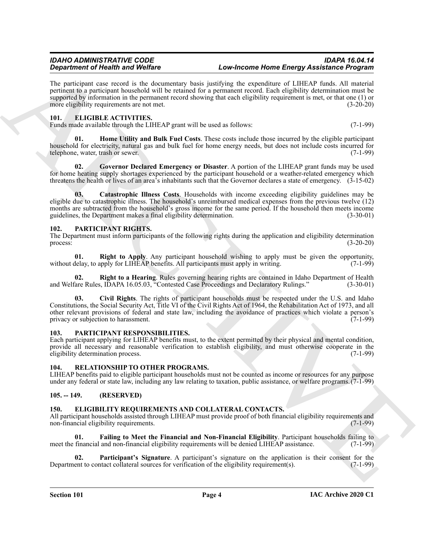The participant case record is the documentary basis justifying the expenditure of LIHEAP funds. All material pertinent to a participant household will be retained for a permanent record. Each eligibility determination must be supported by information in the permanent record showing that each eligibility requirement is met, or that one (1) or more eligibility requirements are not met. (3-20-20)

#### <span id="page-3-9"></span><span id="page-3-0"></span>**101. ELIGIBLE ACTIVITIES.**

Funds made available through the LIHEAP grant will be used as follows: (7-1-99)

<span id="page-3-12"></span>**01. Home Utility and Bulk Fuel Costs**. These costs include those incurred by the eligible participant household for electricity, natural gas and bulk fuel for home energy needs, but does not include costs incurred for telephone, water, trash or sewer. (7-1-99)

<span id="page-3-11"></span>**02. Governor Declared Emergency or Disaster**. A portion of the LIHEAP grant funds may be used for home heating supply shortages experienced by the participant household or a weather-related emergency which threatens the health or lives of an area's inhabitants such that the Governor declares a state of emergency. (3-15-02)

<span id="page-3-10"></span>**03. Catastrophic Illness Costs**. Households with income exceeding eligibility guidelines may be eligible due to catastrophic illness. The household's unreimbursed medical expenses from the previous twelve (12) months are subtracted from the household's gross income for the same period. If the household then meets income guidelines, the Department makes a final eligibility determination. (3-30-01)

#### <span id="page-3-14"></span><span id="page-3-1"></span>**102. PARTICIPANT RIGHTS.**

The Department must inform participants of the following rights during the application and eligibility determination process:  $(3-20-20)$ 

<span id="page-3-17"></span>**01. Right to Apply**. Any participant household wishing to apply must be given the opportunity, without delay, to apply for LIHEAP benefits. All participants must apply in writing.  $(7-1-99)$ 

<span id="page-3-16"></span><span id="page-3-15"></span>**02. Right to a Hearing**. Rules governing hearing rights are contained in Idaho Department of Health and Welfare Rules, IDAPA 16.05.03, "Contested Case Proceedings and Declaratory Rulings." (3-30-01)

**Strainer of Neuro Workfore**<br>
The protosyne space of the sequence beam include the constrainer beam in the sequence of the sequence of the sequence of the sequence of the sequence of the sequence of the sequence of the se **03. Civil Rights**. The rights of participant households must be respected under the U.S. and Idaho Constitutions, the Social Security Act, Title VI of the Civil Rights Act of 1964, the Rehabilitation Act of 1973, and all other relevant provisions of federal and state law, including the avoidance of practices which violate a person's privacy or subjection to harassment.

#### <span id="page-3-13"></span><span id="page-3-2"></span>**103. PARTICIPANT RESPONSIBILITIES.**

Each participant applying for LIHEAP benefits must, to the extent permitted by their physical and mental condition, provide all necessary and reasonable verification to establish eligibility, and must otherwise cooperate in the eligibility determination process. (7-1-99) eligibility determination process.

#### <span id="page-3-18"></span><span id="page-3-3"></span>**104. RELATIONSHIP TO OTHER PROGRAMS.**

LIHEAP benefits paid to eligible participant households must not be counted as income or resources for any purpose under any federal or state law, including any law relating to taxation, public assistance, or welfare programs.(7-1-99)

#### <span id="page-3-4"></span>**105. -- 149. (RESERVED)**

#### <span id="page-3-6"></span><span id="page-3-5"></span>**150. ELIGIBILITY REQUIREMENTS AND COLLATERAL CONTACTS.**

All participant households assisted through LIHEAP must provide proof of both financial eligibility requirements and non-financial eligibility requirements. (7-1-99) non-financial eligibility requirements.

<span id="page-3-7"></span>**01. Failing to Meet the Financial and Non-Financial Eligibility**. Participant households failing to meet the financial and non-financial eligibility requirements will be denied LIHEAP assistance. (7-1-99)

<span id="page-3-8"></span>**02.** Participant's Signature. A participant's signature on the application is their consent for the ent to contact collateral sources for verification of the eligibility requirement(s). (7-1-99) Department to contact collateral sources for verification of the eligibility requirement(s).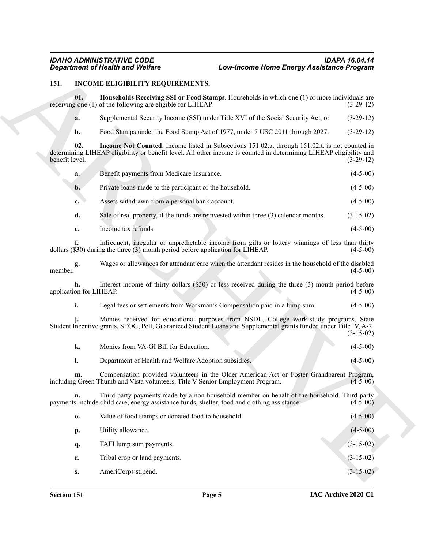#### <span id="page-4-1"></span><span id="page-4-0"></span>**151. INCOME ELIGIBILITY REQUIREMENTS.**

- <span id="page-4-2"></span>**a.** Supplemental Security Income (SSI) under Title XVI of the Social Security Act; or (3-29-12)
- <span id="page-4-3"></span>**b.** Food Stamps under the Food Stamp Act of 1977, under 7 USC 2011 through 2027. (3-29-12)

| a.             | Benefit payments from Medicare Insurance.                                            | $(4-5-00)$  |
|----------------|--------------------------------------------------------------------------------------|-------------|
| $\mathbf{b}$ . | Private loans made to the participant or the household.                              | $(4-5-00)$  |
| c.             | Assets withdrawn from a personal bank account.                                       | $(4-5-00)$  |
| d.             | Sale of real property, if the funds are reinvested within three (3) calendar months. | $(3-15-02)$ |
|                | Income tax refunds.                                                                  | $(4-5-00)$  |

| Monies from VA-GI Bill for Education. |  |  |
|---------------------------------------|--|--|
|---------------------------------------|--|--|

### **l.** Department of Health and Welfare Adoption subsidies. (4-5-00)

|                         | <b>Department of Health and Welfare</b>                                                      | Low-Income Home Energy Assistance Program                                                                                                                                                                            |                |
|-------------------------|----------------------------------------------------------------------------------------------|----------------------------------------------------------------------------------------------------------------------------------------------------------------------------------------------------------------------|----------------|
| 151.                    | INCOME ELIGIBILITY REQUIREMENTS.                                                             |                                                                                                                                                                                                                      |                |
| 01.                     | receiving one (1) of the following are eligible for LIHEAP:                                  | Households Receiving SSI or Food Stamps. Households in which one (1) or more individuals are                                                                                                                         | $(3-29-12)$    |
| a.                      |                                                                                              | Supplemental Security Income (SSI) under Title XVI of the Social Security Act; or                                                                                                                                    | $(3-29-12)$    |
| $\mathbf{b}$ .          |                                                                                              | Food Stamps under the Food Stamp Act of 1977, under 7 USC 2011 through 2027.                                                                                                                                         | $(3-29-12)$    |
| 02.<br>benefit level.   |                                                                                              | Income Not Counted. Income listed in Subsections 151.02.a. through 151.02.t. is not counted in<br>determining LIHEAP eligibility or benefit level. All other income is counted in determining LIHEAP eligibility and | $(3-29-12)$    |
| a.                      | Benefit payments from Medicare Insurance.                                                    |                                                                                                                                                                                                                      | $(4-5-00)$     |
| $\mathbf{b}$ .          | Private loans made to the participant or the household.                                      |                                                                                                                                                                                                                      | $(4-5-00)$     |
| c.                      | Assets withdrawn from a personal bank account.                                               |                                                                                                                                                                                                                      | $(4-5-00)$     |
| d.                      |                                                                                              | Sale of real property, if the funds are reinvested within three (3) calendar months.                                                                                                                                 | $(3-15-02)$    |
| е.                      | Income tax refunds.                                                                          |                                                                                                                                                                                                                      | $(4-5-00)$     |
| f.                      | dollars (\$30) during the three (3) month period before application for LIHEAP.              | Infrequent, irregular or unpredictable income from gifts or lottery winnings of less than thirty                                                                                                                     | $(4-5-00)$     |
| g.<br>member.           |                                                                                              | Wages or allowances for attendant care when the attendant resides in the household of the disabled                                                                                                                   | $(4-5-00)$     |
| application for LIHEAP. |                                                                                              | Interest income of thirty dollars (\$30) or less received during the three (3) month period before                                                                                                                   | $(4-5-00)$     |
| i.                      |                                                                                              | Legal fees or settlements from Workman's Compensation paid in a lump sum.                                                                                                                                            | $(4-5-00)$     |
|                         |                                                                                              | Monies received for educational purposes from NSDL, College work-study programs, State<br>Student Incentive grants, SEOG, Pell, Guaranteed Student Loans and Supplemental grants funded under Title IV, A-2.         | $(3-15-02)$    |
| k.                      | Monies from VA-GI Bill for Education.                                                        |                                                                                                                                                                                                                      | $(4-5-00)$     |
| l.                      | Department of Health and Welfare Adoption subsidies.                                         |                                                                                                                                                                                                                      | $(4 - 5 - 00)$ |
| m.                      | including Green Thumb and Vista volunteers, Title V Senior Employment Program.               | Compensation provided volunteers in the Older American Act or Foster Grandparent Program,                                                                                                                            | $(4-5-00)$     |
| n.                      | payments include child care, energy assistance funds, shelter, food and clothing assistance. | Third party payments made by a non-household member on behalf of the household. Third party                                                                                                                          | $(4-5-00)$     |
| 0.                      | Value of food stamps or donated food to household.                                           |                                                                                                                                                                                                                      | $(4-5-00)$     |
| p.                      | Utility allowance.                                                                           |                                                                                                                                                                                                                      | $(4-5-00)$     |
| q.                      | TAFI lump sum payments.                                                                      |                                                                                                                                                                                                                      | $(3-15-02)$    |
| r.                      | Tribal crop or land payments.                                                                |                                                                                                                                                                                                                      | $(3-15-02)$    |
|                         | AmeriCorps stipend.                                                                          |                                                                                                                                                                                                                      | $(3-15-02)$    |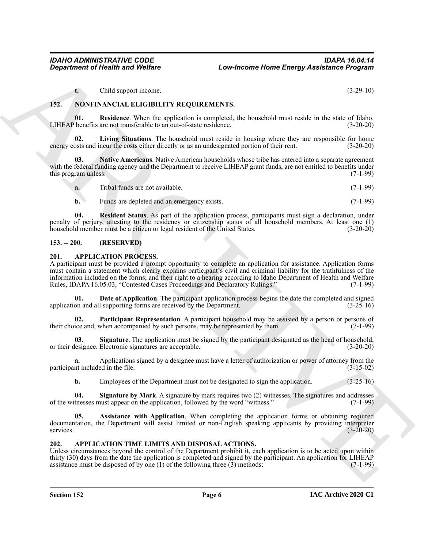<span id="page-5-14"></span><span id="page-5-12"></span><span id="page-5-11"></span>**t.** Child support income. (3-29-10)

#### <span id="page-5-0"></span>**152. NONFINANCIAL ELIGIBILITY REQUIREMENTS.**

**01.** Residence. When the application is completed, the household must reside in the state of Idaho. benefits are not transferable to an out-of-state residence. (3-20-20) LIHEAP benefits are not transferable to an out-of-state residence.

**02. Living Situations**. The household must reside in housing where they are responsible for home energy costs and incur the costs either directly or as an undesignated portion of their rent. (3-20-20)

**03. Native Americans**. Native American households whose tribe has entered into a separate agreement with the federal funding agency and the Department to receive LIHEAP grant funds, are not entitled to benefits under this program unless: (7-1-99)

<span id="page-5-13"></span>

| a. | Tribal funds are not available. | $1 - 99$ |  |
|----|---------------------------------|----------|--|
|    |                                 |          |  |

<span id="page-5-15"></span>**b.** Funds are depleted and an emergency exists. (7-1-99)

**04. Resident Status**. As part of the application process, participants must sign a declaration, under penalty of perjury, attesting to the residency or citizenship status of all household members. At least one (1) household member must be a citizen or legal resident of the United States.

#### <span id="page-5-1"></span>**153. -- 200. (RESERVED)**

#### <span id="page-5-4"></span><span id="page-5-2"></span>**201. APPLICATION PROCESS.**

**Expansion of Nearly in an Welfare**<br>
Low-Mechanic **Energy Assistance Program**<br>
Local surpression control in the state of the state of the state of the state of the state of the state of the state of the state of the state A participant must be provided a prompt opportunity to complete an application for assistance. Application forms must contain a statement which clearly explains participant's civil and criminal liability for the truthfulness of the information included on the forms; and their right to a hearing according to Idaho Department of Health and Welfare Rules, IDAPA 16.05.03, "Contested Cases Proceedings and Declaratory Rulings." (7-1-99)

<span id="page-5-6"></span>**01. Date of Application**. The participant application process begins the date the completed and signed application and all supporting forms are received by the Department. (3-25-16)

<span id="page-5-7"></span>**02. Participant Representation**. A participant household may be assisted by a person or persons of their choice and, when accompanied by such persons, may be represented by them. (7-1-99)

<span id="page-5-8"></span>**03. Signature**. The application must be signed by the participant designated as the head of household, or their designee. Electronic signatures are acceptable. (3-20-20)

**a.** Applications signed by a designee must have a letter of authorization or power of attorney from the participant included in the file. (3-15-02)

<span id="page-5-9"></span><span id="page-5-5"></span>**b.** Employees of the Department must not be designated to sign the application.  $(3-25-16)$ 

**04. Signature by Mark**. A signature by mark requires two (2) witnesses. The signatures and addresses of the witnesses must appear on the application, followed by the word "witness." (7-1-99)

**05. Assistance with Application**. When completing the application forms or obtaining required documentation, the Department will assist limited or non-English speaking applicants by providing interpreter services. (3-20-20)

#### <span id="page-5-10"></span><span id="page-5-3"></span>**202. APPLICATION TIME LIMITS AND DISPOSAL ACTIONS.**

Unless circumstances beyond the control of the Department prohibit it, each application is to be acted upon within thirty (30) days from the date the application is completed and signed by the participant. An application for LIHEAP assistance must be disposed of by one (1) of the following three  $(3)$  methods:  $(7-1-99)$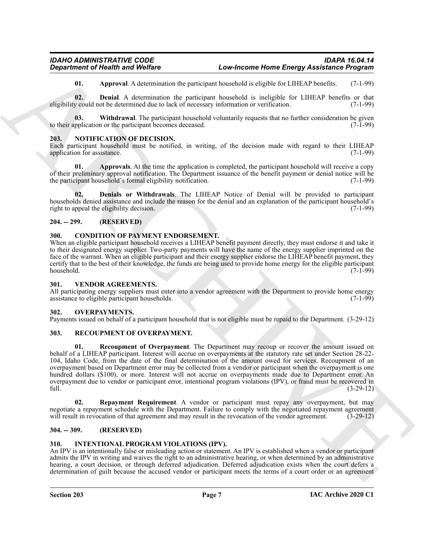<span id="page-6-10"></span><span id="page-6-9"></span><span id="page-6-8"></span>**01. Approval**. A determination the participant household is eligible for LIHEAP benefits. (7-1-99)

**02. Denial**. A determination the participant household is ineligible for LIHEAP benefits or that eligibility could not be determined due to lack of necessary information or verification. (7-1-99)

**03.** Withdrawal. The participant household voluntarily requests that no further consideration be given polication or the participant becomes deceased. (7-1-99) to their application or the participant becomes deceased.

#### <span id="page-6-13"></span><span id="page-6-0"></span>**203. NOTIFICATION OF DECISION.**

Each participant household must be notified, in writing, of the decision made with regard to their LIHEAP application for assistance. (7-1-99) application for assistance.

<span id="page-6-14"></span>**01. Approvals**. At the time the application is completed, the participant household will receive a copy of their preliminary approval notification. The Department issuance of the benefit payment or denial notice will be the participant household's formal eligibility notification. (7-1-99)

<span id="page-6-15"></span>**02. Denials or Withdrawals**. The LIHEAP Notice of Denial will be provided to participant households denied assistance and include the reason for the denial and an explanation of the participant household's right to appeal the eligibility decision. (7-1-99)

#### <span id="page-6-1"></span>**204. -- 299. (RESERVED)**

#### <span id="page-6-11"></span><span id="page-6-2"></span>**300. CONDITION OF PAYMENT ENDORSEMENT.**

When an eligible participant household receives a LIHEAP benefit payment directly, they must endorse it and take it to their designated energy supplier. Two-party payments will have the name of the energy supplier imprinted on the face of the warrant. When an eligible participant and their energy supplier endorse the LIHEAP benefit payment, they certify that to the best of their knowledge, the funds are being used to provide home energy for the eligible participant household. (7-1-99)

#### <span id="page-6-20"></span><span id="page-6-3"></span>**301. VENDOR AGREEMENTS.**

All participating energy suppliers must enter into a vendor agreement with the Department to provide home energy assistance to eligible participant households. (7-1-99) assistance to eligible participant households.

#### <span id="page-6-16"></span><span id="page-6-4"></span>**302. OVERPAYMENTS.**

Payments issued on behalf of a participant household that is not eligible must be repaid to the Department. (3-29-12)

#### <span id="page-6-18"></span><span id="page-6-17"></span><span id="page-6-5"></span>**303. RECOUPMENT OF OVERPAYMENT.**

*Considered of Nearly was Wolfrey*<br> **Low-theorem Sovernorms Home Energy Assistance Program**<br> **Considered a Archives the profession and the profession of the state in the left-state considered and the state of the state 01. Recoupment of Overpayment**. The Department may recoup or recover the amount issued on behalf of a LIHEAP participant. Interest will accrue on overpayments at the statutory rate set under Section 28-22- 104, Idaho Code, from the date of the final determination of the amount owed for services. Recoupment of an overpayment based on Department error may be collected from a vendor or participant when the overpayment is one hundred dollars (\$100), or more. Interest will not accrue on overpayments made due to Department error. An overpayment due to vendor or participant error, intentional program violations (IPV), or fraud must be recovered in full. (3-29-12)

<span id="page-6-19"></span>**02. Repayment Requirement**. A vendor or participant must repay any overpayment, but may negotiate a repayment schedule with the Department. Failure to comply with the negotiated repayment agreement will result in revocation of that agreement and may result in the revocation of the vendor agreement. (3-29-12)

#### <span id="page-6-6"></span>**304. -- 309. (RESERVED)**

#### <span id="page-6-12"></span><span id="page-6-7"></span>**310. INTENTIONAL PROGRAM VIOLATIONS (IPV).**

An IPV is an intentionally false or misleading action or statement. An IPV is established when a vendor or participant admits the IPV in writing and waives the right to an administrative hearing, or when determined by an administrative hearing, a court decision, or through deferred adjudication. Deferred adjudication exists when the court defers a determination of guilt because the accused vendor or participant meets the terms of a court order or an agreement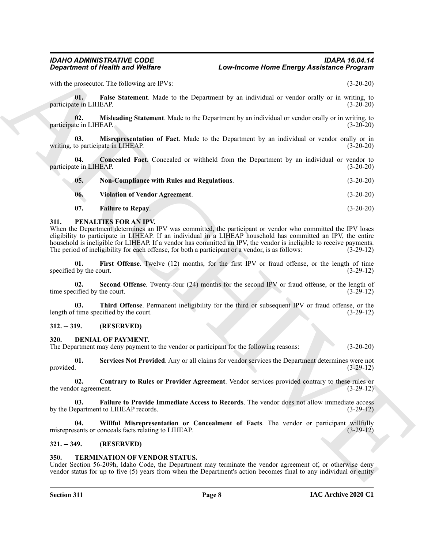<span id="page-7-12"></span><span id="page-7-11"></span>

|                                     | <b>Department of Health and Welfare</b>                                                                                   | Low-Income Home Energy Assistance Program                                                                                                                                                                                                                                                                                                          |             |
|-------------------------------------|---------------------------------------------------------------------------------------------------------------------------|----------------------------------------------------------------------------------------------------------------------------------------------------------------------------------------------------------------------------------------------------------------------------------------------------------------------------------------------------|-------------|
|                                     | with the prosecutor. The following are IPVs:                                                                              |                                                                                                                                                                                                                                                                                                                                                    | $(3-20-20)$ |
| 01.<br>participate in LIHEAP.       |                                                                                                                           | False Statement. Made to the Department by an individual or vendor orally or in writing, to                                                                                                                                                                                                                                                        | $(3-20-20)$ |
| 02.<br>participate in LIHEAP.       |                                                                                                                           | <b>Misleading Statement</b> . Made to the Department by an individual or vendor orally or in writing, to                                                                                                                                                                                                                                           | $(3-20-20)$ |
| 03.                                 | writing, to participate in LIHEAP.                                                                                        | Misrepresentation of Fact. Made to the Department by an individual or vendor orally or in                                                                                                                                                                                                                                                          | $(3-20-20)$ |
| 04.<br>participate in LIHEAP.       |                                                                                                                           | Concealed Fact. Concealed or withheld from the Department by an individual or vendor to                                                                                                                                                                                                                                                            | $(3-20-20)$ |
| 05.                                 | <b>Non-Compliance with Rules and Regulations.</b>                                                                         |                                                                                                                                                                                                                                                                                                                                                    | $(3-20-20)$ |
| 06.                                 | <b>Violation of Vendor Agreement.</b>                                                                                     |                                                                                                                                                                                                                                                                                                                                                    | $(3-20-20)$ |
| 07.                                 | <b>Failure to Repay.</b>                                                                                                  |                                                                                                                                                                                                                                                                                                                                                    | $(3-20-20)$ |
| 311.                                | PENALTIES FOR AN IPV.<br>The period of ineligibility for each offense, for both a participant or a vendor, is as follows: | When the Department determines an IPV was committed, the participant or vendor who committed the IPV loses<br>eligibility to participate in LIHEAP. If an individual in a LIHEAP household has committed an IPV, the entire<br>household is ineligible for LIHEAP. If a vendor has committed an IPV, the vendor is ineligible to receive payments. | $(3-29-12)$ |
| 01.<br>specified by the court.      |                                                                                                                           | First Offense. Twelve (12) months, for the first IPV or fraud offense, or the length of time                                                                                                                                                                                                                                                       | $(3-29-12)$ |
| 02.<br>time specified by the court. |                                                                                                                           | Second Offense. Twenty-four (24) months for the second IPV or fraud offense, or the length of                                                                                                                                                                                                                                                      | $(3-29-12)$ |
| 03.                                 | length of time specified by the court.                                                                                    | Third Offense. Permanent ineligibility for the third or subsequent IPV or fraud offense, or the                                                                                                                                                                                                                                                    | $(3-29-12)$ |
| $312. - 319.$                       | (RESERVED)                                                                                                                |                                                                                                                                                                                                                                                                                                                                                    |             |
| 320.                                | <b>DENIAL OF PAYMENT.</b><br>The Department may deny payment to the vendor or participant for the following reasons:      |                                                                                                                                                                                                                                                                                                                                                    | $(3-20-20)$ |
| 01.<br>provided.                    |                                                                                                                           | Services Not Provided. Any or all claims for vendor services the Department determines were not                                                                                                                                                                                                                                                    | $(3-29-12)$ |
| 02.<br>the vendor agreement.        |                                                                                                                           | Contrary to Rules or Provider Agreement. Vendor services provided contrary to these rules or                                                                                                                                                                                                                                                       | $(3-29-12)$ |
| 03.                                 | by the Department to LIHEAP records.                                                                                      | Failure to Provide Immediate Access to Records. The vendor does not allow immediate access                                                                                                                                                                                                                                                         | $(3-29-12)$ |
| 04.                                 | misrepresents or conceals facts relating to LIHEAP.                                                                       | Willful Misrepresentation or Concealment of Facts. The vendor or participant willfully                                                                                                                                                                                                                                                             | $(3-29-12)$ |
| $321. - 349.$                       | (RESERVED)                                                                                                                |                                                                                                                                                                                                                                                                                                                                                    |             |
| 350.                                | TERMINATION OF VENDOR STATUS.                                                                                             | Under Section 56-209h, Idaho Code, the Department may terminate the vendor agreement of, or otherwise deny<br>vendor status for up to five $(5)$ years from when the Department's action becomes final to any individual or entity                                                                                                                 |             |

#### <span id="page-7-17"></span><span id="page-7-16"></span><span id="page-7-15"></span><span id="page-7-14"></span><span id="page-7-13"></span><span id="page-7-10"></span><span id="page-7-0"></span>**311. PENALTIES FOR AN IPV.**

#### <span id="page-7-19"></span><span id="page-7-18"></span><span id="page-7-1"></span>**312. -- 319. (RESERVED)**

#### <span id="page-7-8"></span><span id="page-7-6"></span><span id="page-7-5"></span><span id="page-7-2"></span>**320. DENIAL OF PAYMENT.**

#### <span id="page-7-9"></span><span id="page-7-7"></span><span id="page-7-3"></span>**321. -- 349. (RESERVED)**

#### <span id="page-7-20"></span><span id="page-7-4"></span>**350. TERMINATION OF VENDOR STATUS.**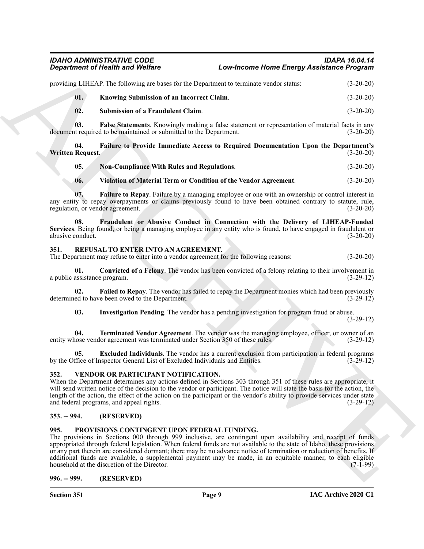#### *IDAHO ADMINISTRATIVE CODE IDAPA 16.04.14 Department of Health and Welfare Low-Income Home Energy Assistance Program*

| providing LIHEAP. The following are bases for the Department to terminate vendor status: |     |                                                  | $(3-20-20)$ |
|------------------------------------------------------------------------------------------|-----|--------------------------------------------------|-------------|
|                                                                                          | 01. | <b>Knowing Submission of an Incorrect Claim.</b> | $(3-20-20)$ |
|                                                                                          | 02. | Submission of a Fraudulent Claim.                | $(3-20-20)$ |

**03. False Statements**. Knowingly making a false statement or representation of material facts in any it required to be maintained or submitted to the Department. (3-20-20) document required to be maintained or submitted to the Department.

**04. Failure to Provide Immediate Access to Required Documentation Upon the Department's Written Request.** (3-20-20)

<span id="page-8-13"></span>**05. Non-Compliance With Rules and Regulations**. (3-20-20)

#### <span id="page-8-12"></span>**06. Violation of Material Term or Condition of the Vendor Agreement**. (3-20-20)

**07. Failure to Repay**. Failure by a managing employee or one with an ownership or control interest in any entity to repay overpayments or claims previously found to have been obtained contrary to statute, rule, regulation, or vendor agreement. (3-20-20)

**08. Fraudulent or Abusive Conduct in Connection with the Delivery of LIHEAP-Funded Services**. Being found, or being a managing employee in any entity who is found, to have engaged in fraudulent or abusive conduct. (3-20-20) abusive conduct.

#### <span id="page-8-6"></span><span id="page-8-0"></span>**351. REFUSAL TO ENTER INTO AN AGREEMENT.**

The Department may refuse to enter into a vendor agreement for the following reasons: (3-20-20)

<span id="page-8-7"></span>**01.** Convicted of a Felony. The vendor has been convicted of a felony relating to their involvement in assistance program. (3-29-12) a public assistance program.

**02. Failed to Repay**. The vendor has failed to repay the Department monies which had been previously determined to have been owed to the Department. (3-29-12)

<span id="page-8-11"></span><span id="page-8-10"></span><span id="page-8-9"></span><span id="page-8-8"></span>**03. Investigation Pending**. The vendor has a pending investigation for program fraud or abuse.

(3-29-12)

**04. Terminated Vendor Agreement**. The vendor was the managing employee, officer, or owner of an entity whose vendor agreement was terminated under Section 350 of these rules. (3-29-12)

**05. Excluded Individuals**. The vendor has a current exclusion from participation in federal programs (fice of Inspector General List of Excluded Individuals and Entities. (3-29-12) by the Office of Inspector General List of Excluded Individuals and Entities.

#### <span id="page-8-14"></span><span id="page-8-1"></span>**352. VENDOR OR PARTICIPANT NOTIFICATION.**

When the Department determines any actions defined in Sections 303 through 351 of these rules are appropriate, it will send written notice of the decision to the vendor or participant. The notice will state the basis for the action, the length of the action, the effect of the action on the participant or the vendor's ability to provide services under state and federal programs, and appeal rights. (3-29-12)

#### <span id="page-8-2"></span>**353. -- 994. (RESERVED)**

#### <span id="page-8-5"></span><span id="page-8-3"></span>**995. PROVISIONS CONTINGENT UPON FEDERAL FUNDING.**

**Experiment of Nearly is and Wolfing Constraint the Constraint State Constraints (2013)**<br>
2013. **Constraint Constraint Constraint Constraint Constraint Constraint Constraint Constraint Constraint Constraint Constraint Con** The provisions in Sections 000 through 999 inclusive, are contingent upon availability and receipt of funds appropriated through federal legislation. When federal funds are not available to the state of Idaho, these provisions or any part therein are considered dormant; there may be no advance notice of termination or reduction of benefits. If additional funds are available, a supplemental payment may be made, in an equitable manner, to each eligible household at the discretion of the Director. (7-1-99) household at the discretion of the Director.

<span id="page-8-4"></span>**996. -- 999. (RESERVED)**

**Section 351 Page 9**